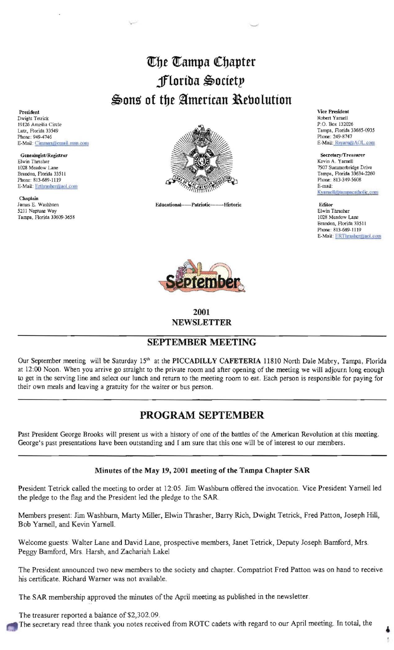# *<u>Uhe Uampa Chapter</u>* **jflortba** ~octet!'  $\clubsuit$ ons of the American Rebolution

President Dwight Telrick 19126 Ameilia Circle Lutz, Florida 33549 Phone: 949-4746 E-Mail: Cimmax@email.msn.com

Elwin Thrasher<br>1028 Meadow Lane Genealogist/Registrar E-Mail: Erthrasher@aol.com

Chaplain<br>James E. Washbrirn 5211 Neptune Way Tampa, Florida 33609-3658



Educational---Patriotic-----Historic



**2001 NEWSLETTER** 

### **SEPTEMBER MEETING**

Our September meeting will be Saturday 15<sup>th</sup> at the **PICCADILLY CAFETERIA** 11810 North Dale Mabry, Tampa, Florida at 12:00 Noon. When you arrive go straight to the private room and after opening of the meeting we will adjourn long enough to get in the serving line and select our lunch and return to the meeting room to eat. Each person is responsible for paying for their own meals and leaving a gratuity for the waiter or bus person.

## **PROGRAM SEPTEMBER**

Past President George Brooks will present us with a history of one of the battles of the American Revolution at this meeting. George's past presentations have been outstanding and I am sure that this one will be of interest to our members.

#### **Minutes ofthe May 19, 2001 meeting of the Tampa Chapter SAR**

President Tetrick called the meeting to order at 12:05. Jim Washburn offered the invocation. Vice President Yarnell led the pledge to the flag and the President led the pledge to the SAR.

Members present: Jim Washburn, Marty Miller, Elwin Thrasher, Barry Rich, Dwight Tetrick., Fred Patton, Joseph Hill, Bob Yarnell, and Kevin Yarnell.

Welcome guests'. Walter Lane and David Lane, prospective members, Janet Tetrick, Deputy Joseph Bamford, Mrs. Peggy Bamford, Mrs. Harsh, and Zachariah Lakel

The President announced two new members to the society and chapter. Compatriot Fred Patton was on hand to receive his certificate. Richard Warner was not available.

The SAR membership approved the minutes of the April meeting as published in the newsletter.

The treasurer reported a balance of \$2,302.09.

The secretary read three thank you notes received from ROTC cadets with regard to our April meeting. In total, the

**Vice President** Robert Yarnell P.O. Box 132026 Tampa, Florida 33685-0935 Phone: 249-8747 E-Mail: Rsyarn70AOL.com

Secretary/Treasurer Kevin A. Yamell Phone: 813-349-5608<br>E-mail: Kyarnell@tampacatholic.com

Editor Elwin Thrasher 1028 Meadow Lane Brandon, Florida 33511 Phone: 813-689-1119 E-Mail: ERThrasher@aol.com

4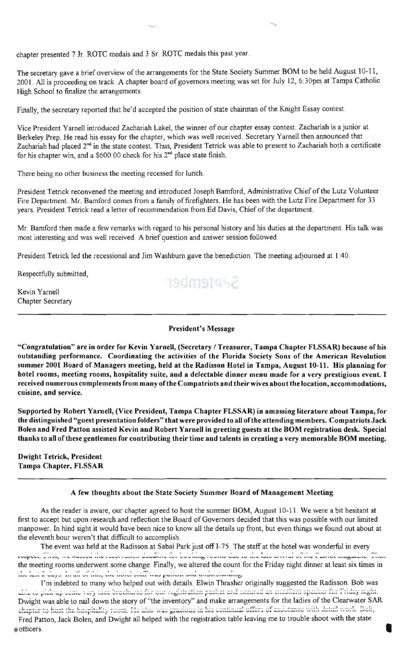chapter presented 7 Jr. ROTC medals and 3 Sr. ROTC medals this past year.

The secretary gave a brief overview of the arrangements for the State Society Summer BOM to be held August 10-11, 2001. All is proceeding on track. A chapter board of governors meeting was set for July 12, 6:30pm at Tampa Catholic High School to finalize the arrangements.

Finally, the secretary reported that he'd accepted the position of state chairman of the Knight Essay contest.

Vice President Yarnell introduced Zachariah Lakel, the winner of our chapter essay contest. Zachariah is a junior at Berkeley Prep. He read his essay for the chapter, which was well received. Secretary Yarnell then announced that Zachariah had placed 2<sup>nd</sup> in the state contest. Thus, President Tetrick was able to present to Zachariah both a certificate for his chapter win, and a \$600.00 check for his 2<sup>nd</sup> place state finish.

There being no other business the meeting recessed for lunch.

President Tetrick reconvened the meeting and introduced Joseph Bamford, Administrative Chief of the Lutz Volunteer Fire Department. Mr. Bamford comes from a family of firefighters. He has been with the Lutz Fire Department for 33 years. President Tetrick read a letter of recommendation from Ed Davis, Chief of the department.

Mr. Bamford then made a few remarks with regard to his personal history and his duties at the department. His talk was most interesting and was well received. A brief question and answer session followed

President Tetrick led the recessional and Jim Washburn gave the benediction. The meeting adjourned at 1:40.

Respectfully submitted,

Kevin Yarnell Chapter Secretary September

President's Message

"Congratulation" are in order for Kevin Yarnell, (Secretary / Treasurer, Tampa Chapter FLSSAR) because of his outstanding performance. Coordinating the activities of the Florida Society Sons of the American Revolution summer 2001 Board of Managers meeting, held at the Radisson Botel in Tampa, August 10-11. His planning for hotel rooms, meeting rooms, hospitality suite, and a delectable dinner menu made for a very prestigious event. I received numerous complements from many of the Compatriots and their wives about the location, accommodations, cuisine, and service.

Supported by Robert Varnell, (Vice President, Tampa Chapter FLSSAR) in amassing literature about Tampa, for the distinguished "guest presentation folders" that were provided to all ofthe attending members. Compatriots Jack Bolen and Fred Patton assisted Kevin and Robert Yarnell in greeting guests at the BOM registration desk. Special thanks to all of these gentlemen for contributing their time and talents in creating a very memorable BOM meeting.

Dwight Tetrick, President Tampa Chapter, FLSSAR

#### A few thoughts about the State Society Summer Board of Management Meeting

As the reader is aware, our chapter agreed to host the summer BOM, August 10-11. We were a bit hesitant at first to accept but upon research and reflection the Board of Governors decided that this was possible with our limited manpower. In hind sight it would have been nice to know all the details up front, but even things we found out about at the eleventh hour weren't that difficult to accomplish. the reader is aware, our chapter agreed to host the summer BOM, August 10-11. We were a bit hesit<br>that upon research and reflection the Board of Governors decided that this was possible with our l<br>in hind sight it would ha

The event was held at the Radisson at Sabal Park just off 1-75. The staff at the hotel was wonderful in every rospect. I ask, we nassed the roser uncerdentative for booking rooms due to the hite univel of the Punnol magazine. Then the meeting rooms underwent some change. Finally, we altered the count for the Friday night dinner at least six times in  $\mu = \mu_{\rm max} = \mu_{\rm max} = \mu_{\rm max} = \mu_{\rm max} = 1 - \mu_{\rm max} = 1 - \mu_{\rm max} = 1 - \mu_{\rm max} = 1 - \mu_{\rm max} = 1 - \mu_{\rm max} = 1 - \mu_{\rm max} = 1 - \mu_{\rm max} = 1 - \mu_{\rm max} = 1 - \mu_{\rm max} = 1 - \mu_{\rm max} = 1 - \mu_{\rm max} = 1 - \mu_{\rm max} = 1 - \mu_{\rm max} = 1 - \mu_{\rm max} = 1 - \mu_{\rm max} = 1 - \mu_{\rm max} = 1 - \mu_{\rm max$ 

I'm indebted to many who helped out with details. Elwin Thrasher originally suggested the Radisson. Bob was able to pick up some very also brochares for our registration packet and secured an excellent speaker for Priday night. Dwight was able to nail down the story of "the inventory" and make arrangements for the ladies of the Clearwater SAR thapter to host the hospitality room. He also was gracious in his continual offers of assistance with detail work. Bob, Fred Patton, Jack Bolen, and Dwight all helped with the registration table leaving me to trouble shoot with the state otticers.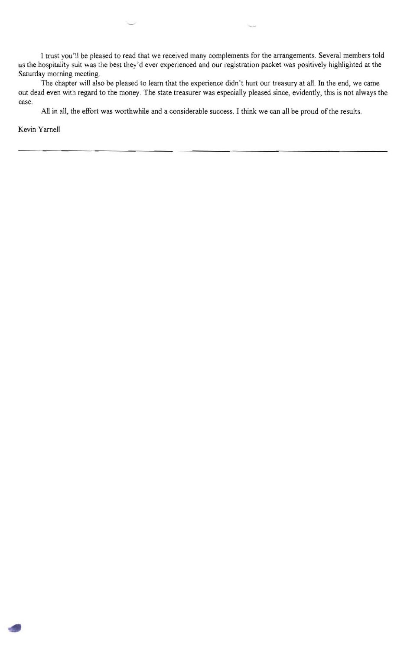I trust you'll be pleased to read that we received many complements for the arrangements. Several members told us the hospitality suit was the best they'd ever experienced and our registration packet was positively highlighted at the Saturday morning meeting.

The chapter will also be pleased to learn that the experience didn't hurt our treasury at all. In the end, we came out dead even with regard to the money. The state treasurer was especially pleased since, evidently, this is not always the case.

All in all, the effort was worthwhile and a considerable success. I think we can all be proud of the results.

Kevin Yamell